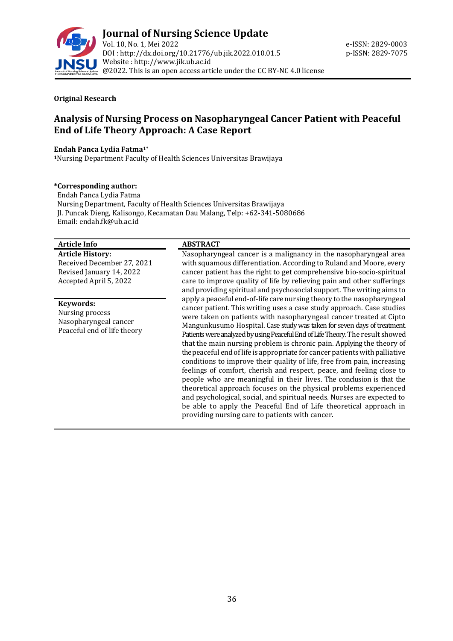

#### **Original Research**

# **Analysis of Nursing Process on Nasopharyngeal Cancer Patient with Peaceful End of Life Theory Approach: A Case Report**

#### **Endah Panca Lydia Fatma1\***

**<sup>1</sup>**Nursing Department Faculty of Health Sciences Universitas Brawijaya

#### **\*Corresponding author:**

 Endah Panca Lydia Fatma Nursing Department, Faculty of Health Sciences Universitas Brawijaya Jl. Puncak Dieng, Kalisongo, Kecamatan Dau Malang, Telp: +62-341-5080686 Email[: endah.fk@ub.ac.id](mailto:endah.fk@ub.ac.id)

#### **Article Info ABSTRACT**

**Article History:** Received December 27, 2021 Revised January 14, 2022 Accepted April 5, 2022

#### **Keywords:**

Nursing process Nasopharyngeal cancer Peaceful end of life theory

Nasopharyngeal cancer is a malignancy in the nasopharyngeal area with squamous differentiation. According to Ruland and Moore, every cancer patient has the right to get comprehensive bio-socio-spiritual care to improve quality of life by relieving pain and other sufferings and providing spiritual and psychosocial support. The writing aims to apply a peaceful end-of-life care nursing theory to the nasopharyngeal cancer patient. This writing uses a case study approach. Case studies were taken on patients with nasopharyngeal cancer treated at Cipto Mangunkusumo Hospital. Case study was taken for seven days of treatment. Patients were analyzed by using Peaceful End of Life Theory. The result showed that the main nursing problem is chronic pain. Applying the theory of the peaceful end of life is appropriate for cancer patients with palliative conditions to improve their quality of life, free from pain, increasing feelings of comfort, cherish and respect, peace, and feeling close to people who are meaningful in their lives. The conclusion is that the theoretical approach focuses on the physical problems experienced and psychological, social, and spiritual needs. Nurses are expected to be able to apply the Peaceful End of Life theoretical approach in providing nursing care to patients with cancer.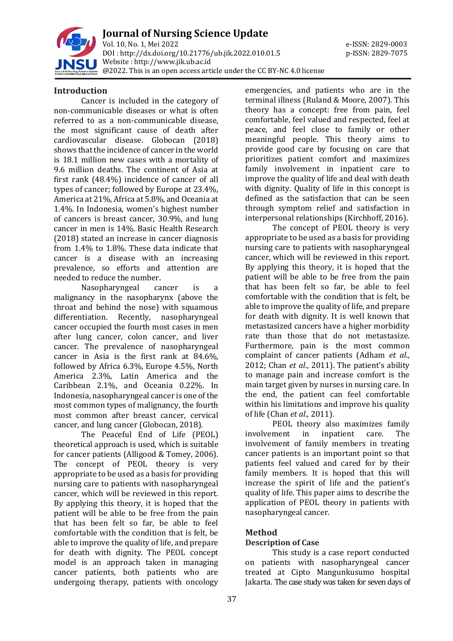

**Journal of Nursing Science Update** Vol. 10, No. 1, Mei 2022 e-ISSN: 2829-0003 DOI : [http://dx.doi.org/10.21776/ub.jik.2022.010.01.5](http://dx.doi.org/10.21776/ub.jik.2022.010.01) p-ISSN: 2829-7075 Website : http:/[/www.jik.ub.ac.id](http://www.jik.ub.ac.id/) @2022. This is an open access article under the CC BY-NC 4.0 license

#### **Introduction**

Cancer is included in the category of non-communicable diseases or what is often referred to as a non-communicable disease, the most significant cause of death after cardiovascular disease. Globocan (2018) shows that the incidence of cancer in the world is 18.1 million new cases with a mortality of 9.6 million deaths. The continent of Asia at first rank (48.4%) incidence of cancer of all types of cancer; followed by Europe at 23.4%, America at 21%, Africa at 5.8%, and Oceania at 1.4%. In Indonesia, women's highest number of cancers is breast cancer, 30.9%, and lung cancer in men is 14%. Basic Health Research (2018) stated an increase in cancer diagnosis from 1.4% to 1.8%. These data indicate that cancer is a disease with an increasing prevalence, so efforts and attention are needed to reduce the number.

Nasopharyngeal cancer is a malignancy in the nasopharynx (above the throat and behind the nose) with squamous differentiation. Recently, nasopharyngeal cancer occupied the fourth most cases in men after lung cancer, colon cancer, and liver cancer. The prevalence of nasopharyngeal cancer in Asia is the first rank at 84.6%, followed by Africa 6.3%, Europe 4.5%, North America 2.3%, Latin America and the Caribbean 2.1%, and Oceania 0.22%. In Indonesia, nasopharyngeal cancer is one of the most common types of malignancy, the fourth most common after breast cancer, cervical cancer, and lung cancer (Globocan, 2018).

The Peaceful End of Life (PEOL) theoretical approach is used, which is suitable for cancer patients (Alligood & Tomey, 2006). The concept of PEOL theory is very appropriate to be used as a basis for providing nursing care to patients with nasopharyngeal cancer, which will be reviewed in this report. By applying this theory, it is hoped that the patient will be able to be free from the pain that has been felt so far, be able to feel comfortable with the condition that is felt, be able to improve the quality of life, and prepare for death with dignity. The PEOL concept model is an approach taken in managing cancer patients, both patients who are undergoing therapy, patients with oncology

emergencies, and patients who are in the terminal illness (Ruland & Moore, 2007). This theory has a concept: free from pain, feel comfortable, feel valued and respected, feel at peace, and feel close to family or other meaningful people. This theory aims to provide good care by focusing on care that prioritizes patient comfort and maximizes family involvement in inpatient care to improve the quality of life and deal with death with dignity. Quality of life in this concept is defined as the satisfaction that can be seen through symptom relief and satisfaction in interpersonal relationships (Kirchhoff, 2016).

The concept of PEOL theory is very appropriate to be used as a basis for providing nursing care to patients with nasopharyngeal cancer, which will be reviewed in this report. By applying this theory, it is hoped that the patient will be able to be free from the pain that has been felt so far, be able to feel comfortable with the condition that is felt, be able to improve the quality of life, and prepare for death with dignity. It is well known that metastasized cancers have a higher morbidity rate than those that do not metastasize. Furthermore, pain is the most common complaint of cancer patients (Adham *et al*., 2012; Chan *et al*., 2011). The patient's ability to manage pain and increase comfort is the main target given by nurses in nursing care. In the end, the patient can feel comfortable within his limitations and improve his quality of life (Chan *et al*., 2011).

PEOL theory also maximizes family involvement in inpatient care. The involvement of family members in treating cancer patients is an important point so that patients feel valued and cared for by their family members. It is hoped that this will increase the spirit of life and the patient's quality of life. This paper aims to describe the application of PEOL theory in patients with nasopharyngeal cancer.

## **Method**

## **Description of Case**

This study is a case report conducted on patients with nasopharyngeal cancer treated at Cipto Mangunkusumo hospital Jakarta. The case study was taken for seven days of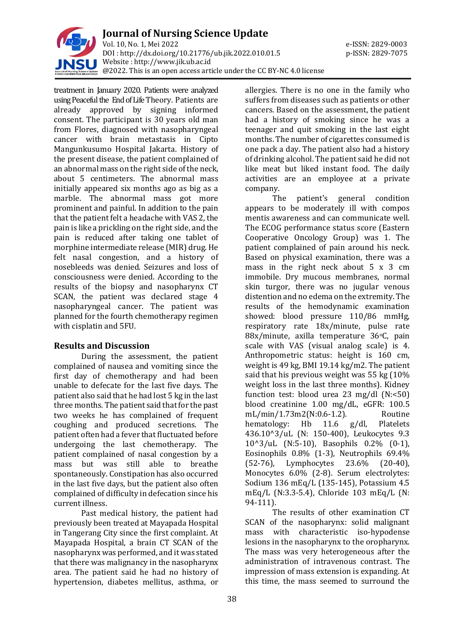

treatment in January 2020. Patients were analyzed using Peaceful the End of Life Theory. Patients are already approved by signing informed consent. The participant is 30 years old man from Flores, diagnosed with nasopharyngeal cancer with brain metastasis in Cipto Mangunkusumo Hospital Jakarta. History of the present disease, the patient complained of an abnormal mass on the right side of the neck, about 5 centimeters. The abnormal mass initially appeared six months ago as big as a marble. The abnormal mass got more prominent and painful. In addition to the pain that the patient felt a headache with VAS 2, the pain is like a prickling on the right side, and the pain is reduced after taking one tablet of morphine intermediate release (MIR) drug. He felt nasal congestion, and a history of nosebleeds was denied. Seizures and loss of consciousness were denied. According to the results of the biopsy and nasopharynx CT SCAN, the patient was declared stage 4 nasopharyngeal cancer. The patient was planned for the fourth chemotherapy regimen with cisplatin and 5FU.

## **Results and Discussion**

During the assessment, the patient complained of nausea and vomiting since the first day of chemotherapy and had been unable to defecate for the last five days. The patient also said that he had lost 5 kg in the last three months. The patient said that for the past two weeks he has complained of frequent coughing and produced secretions. The patient often had a fever that fluctuated before undergoing the last chemotherapy. The patient complained of nasal congestion by a mass but was still able to breathe spontaneously. Constipation has also occurred in the last five days, but the patient also often complained of difficulty in defecation since his current illness.

Past medical history, the patient had previously been treated at Mayapada Hospital in Tangerang City since the first complaint. At Mayapada Hospital, a brain CT SCAN of the nasopharynx was performed, and it was stated that there was malignancy in the nasopharynx area. The patient said he had no history of hypertension, diabetes mellitus, asthma, or

allergies. There is no one in the family who suffers from diseases such as patients or other cancers. Based on the assessment, the patient had a history of smoking since he was a teenager and quit smoking in the last eight months. The number of cigarettes consumed is one pack a day. The patient also had a history of drinking alcohol. The patient said he did not like meat but liked instant food. The daily activities are an employee at a private company.

The patient's general condition appears to be moderately ill with compos mentis awareness and can communicate well. The ECOG performance status score (Eastern Cooperative Oncology Group) was 1. The patient complained of pain around his neck. Based on physical examination, there was a mass in the right neck about 5 x 3 cm immobile. Dry mucous membranes, normal skin turgor, there was no jugular venous distention and no edema on the extremity. The results of the hemodynamic examination showed: blood pressure 110/86 mmHg, respiratory rate 18x/minute, pulse rate 88x/minute, axilla temperature 36°C, pain scale with VAS (visual analog scale) is 4. Anthropometric status: height is 160 cm, weight is 49 kg, BMI 19.14 kg/m2. The patient said that his previous weight was 55 kg (10% weight loss in the last three months). Kidney function test: blood urea 23 mg/dl (N:<50) blood creatinine 1.00 mg/dL, eGFR: 100.5 mL/min/1.73m2(N:0.6-1.2). Routine hematology: Hb 11.6 g/dl, Platelets 436.10^3/uL (N: 150-400), Leukocytes 9.3 10^3/uL (N:5-10), Basophils 0.2% (0-1), Eosinophils 0.8% (1-3), Neutrophils 69.4% (52-76), Lymphocytes 23.6% (20-40), Monocytes 6.0% (2-8). Serum electrolytes: Sodium 136 mEq/L (135-145), Potassium 4.5 mEq/L (N:3.3-5.4), Chloride 103 mEq/L (N: 94-111).

The results of other examination CT SCAN of the nasopharynx: solid malignant mass with characteristic iso-hypodense lesions in the nasopharynx to the oropharynx. The mass was very heterogeneous after the administration of intravenous contrast. The impression of mass extension is expanding. At this time, the mass seemed to surround the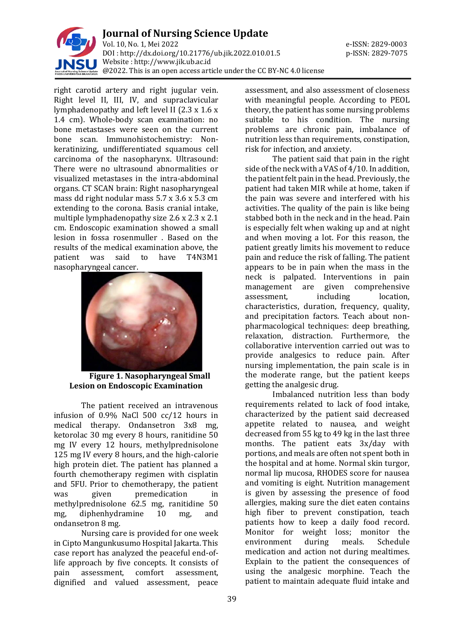

right carotid artery and right jugular vein. Right level II, III, IV, and supraclavicular lymphadenopathy and left level II (2.3 x 1.6 x 1.4 cm). Whole-body scan examination: no bone metastases were seen on the current bone scan. Immunohistochemistry: Nonkeratinizing, undifferentiated squamous cell carcinoma of the nasopharynx. Ultrasound: There were no ultrasound abnormalities or visualized metastases in the intra-abdominal organs. CT SCAN brain: Right nasopharyngeal mass dd right nodular mass 5.7 x 3.6 x 5.3 cm extending to the corona. Basis cranial intake, multiple lymphadenopathy size 2.6 x 2.3 x 2.1 cm. Endoscopic examination showed a small lesion in fossa rosenmuller . Based on the results of the medical examination above, the patient was said to have T4N3M1 nasopharyngeal cancer.



**Figure 1. Nasopharyngeal Small Lesion on Endoscopic Examination**

The patient received an intravenous infusion of 0.9% NaCl 500 cc/12 hours in medical therapy. Ondansetron 3x8 mg, ketorolac 30 mg every 8 hours, ranitidine 50 mg IV every 12 hours, methylprednisolone 125 mg IV every 8 hours, and the high-calorie high protein diet. The patient has planned a fourth chemotherapy regimen with cisplatin and 5FU. Prior to chemotherapy, the patient was given premedication in methylprednisolone 62.5 mg, ranitidine 50 mg, diphenhydramine 10 mg, and ondansetron 8 mg.

Nursing care is provided for one week in Cipto Mangunkusumo Hospital Jakarta. This case report has analyzed the peaceful end-oflife approach by five concepts. It consists of pain assessment, comfort assessment, dignified and valued assessment, peace

assessment, and also assessment of closeness with meaningful people. According to PEOL theory, the patient has some nursing problems suitable to his condition. The nursing problems are chronic pain, imbalance of nutrition less than requirements, constipation, risk for infection, and anxiety.

The patient said that pain in the right side of the neck with a VAS of 4/10. In addition, the patient felt pain in the head. Previously, the patient had taken MIR while at home, taken if the pain was severe and interfered with his activities. The quality of the pain is like being stabbed both in the neck and in the head. Pain is especially felt when waking up and at night and when moving a lot. For this reason, the patient greatly limits his movement to reduce pain and reduce the risk of falling. The patient appears to be in pain when the mass in the neck is palpated. Interventions in pain management are given comprehensive assessment, including location, characteristics, duration, frequency, quality, and precipitation factors. Teach about nonpharmacological techniques: deep breathing, relaxation, distraction. Furthermore, the collaborative intervention carried out was to provide analgesics to reduce pain. After nursing implementation, the pain scale is in the moderate range, but the patient keeps getting the analgesic drug.

Imbalanced nutrition less than body requirements related to lack of food intake, characterized by the patient said decreased appetite related to nausea, and weight decreased from 55 kg to 49 kg in the last three months. The patient eats 3x/day with portions, and meals are often not spent both in the hospital and at home. Normal skin turgor, normal lip mucosa, RHODES score for nausea and vomiting is eight. Nutrition management is given by assessing the presence of food allergies, making sure the diet eaten contains high fiber to prevent constipation, teach patients how to keep a daily food record. Monitor for weight loss; monitor the environment during meals. Schedule medication and action not during mealtimes. Explain to the patient the consequences of using the analgesic morphine. Teach the patient to maintain adequate fluid intake and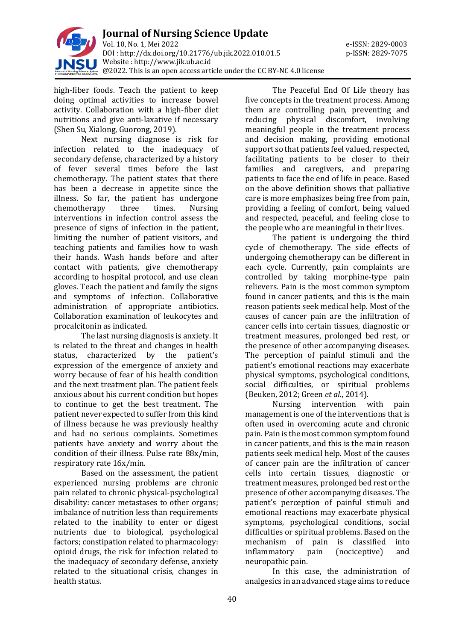

high-fiber foods. Teach the patient to keep doing optimal activities to increase bowel activity. Collaboration with a high-fiber diet nutritions and give anti-laxative if necessary (Shen Su, Xialong, Guorong, 2019).

Next nursing diagnose is risk for infection related to the inadequacy of secondary defense, characterized by a history of fever several times before the last chemotherapy. The patient states that there has been a decrease in appetite since the illness. So far, the patient has undergone chemotherapy three times. Nursing interventions in infection control assess the presence of signs of infection in the patient, limiting the number of patient visitors, and teaching patients and families how to wash their hands. Wash hands before and after contact with patients, give chemotherapy according to hospital protocol, and use clean gloves. Teach the patient and family the signs and symptoms of infection. Collaborative administration of appropriate antibiotics. Collaboration examination of leukocytes and procalcitonin as indicated.

The last nursing diagnosis is anxiety. It is related to the threat and changes in health status, characterized by the patient's expression of the emergence of anxiety and worry because of fear of his health condition and the next treatment plan. The patient feels anxious about his current condition but hopes to continue to get the best treatment. The patient never expected to suffer from this kind of illness because he was previously healthy and had no serious complaints. Sometimes patients have anxiety and worry about the condition of their illness. Pulse rate 88x/min, respiratory rate 16x/min.

Based on the assessment, the patient experienced nursing problems are chronic pain related to chronic physical-psychological disability: cancer metastases to other organs; imbalance of nutrition less than requirements related to the inability to enter or digest nutrients due to biological, psychological factors; constipation related to pharmacology: opioid drugs, the risk for infection related to the inadequacy of secondary defense, anxiety related to the situational crisis, changes in health status.

The Peaceful End Of Life theory has five concepts in the treatment process. Among them are controlling pain, preventing and reducing physical discomfort, involving meaningful people in the treatment process and decision making, providing emotional support so that patients feel valued, respected, facilitating patients to be closer to their families and caregivers, and preparing patients to face the end of life in peace. Based on the above definition shows that palliative care is more emphasizes being free from pain, providing a feeling of comfort, being valued and respected, peaceful, and feeling close to the people who are meaningful in their lives.

The patient is undergoing the third cycle of chemotherapy. The side effects of undergoing chemotherapy can be different in each cycle. Currently, pain complaints are controlled by taking morphine-type pain relievers. Pain is the most common symptom found in cancer patients, and this is the main reason patients seek medical help. Most of the causes of cancer pain are the infiltration of cancer cells into certain tissues, diagnostic or treatment measures, prolonged bed rest, or the presence of other accompanying diseases. The perception of painful stimuli and the patient's emotional reactions may exacerbate physical symptoms, psychological conditions, social difficulties, or spiritual problems (Beuken, 2012; Green *et al*., 2014).

Nursing intervention with pain management is one of the interventions that is often used in overcoming acute and chronic pain. Pain is the most common symptom found in cancer patients, and this is the main reason patients seek medical help. Most of the causes of cancer pain are the infiltration of cancer cells into certain tissues, diagnostic or treatment measures, prolonged bed rest or the presence of other accompanying diseases. The patient's perception of painful stimuli and emotional reactions may exacerbate physical symptoms, psychological conditions, social difficulties or spiritual problems. Based on the mechanism of pain is classified into inflammatory pain (nociceptive) and neuropathic pain.

In this case, the administration of analgesics in an advanced stage aims to reduce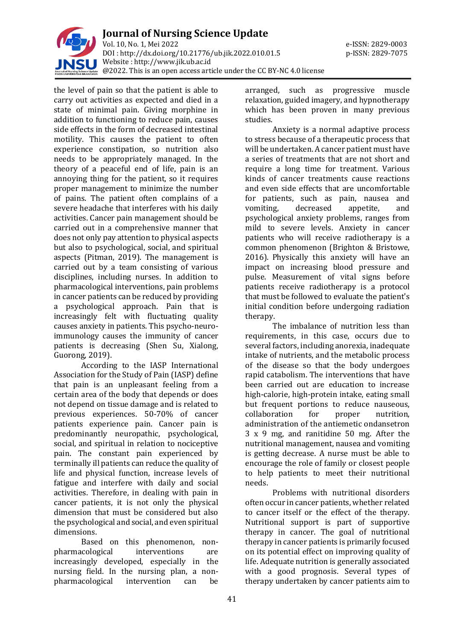

the level of pain so that the patient is able to carry out activities as expected and died in a state of minimal pain. Giving morphine in addition to functioning to reduce pain, causes side effects in the form of decreased intestinal motility. This causes the patient to often experience constipation, so nutrition also needs to be appropriately managed. In the theory of a peaceful end of life, pain is an annoying thing for the patient, so it requires proper management to minimize the number of pains. The patient often complains of a severe headache that interferes with his daily activities. Cancer pain management should be carried out in a comprehensive manner that does not only pay attention to physical aspects but also to psychological, social, and spiritual aspects (Pitman, 2019). The management is carried out by a team consisting of various disciplines, including nurses. In addition to pharmacological interventions, pain problems in cancer patients can be reduced by providing a psychological approach. Pain that is increasingly felt with fluctuating quality causes anxiety in patients. This psycho-neuroimmunology causes the immunity of cancer patients is decreasing (Shen Su, Xialong, Guorong, 2019).

According to the IASP International Association for the Study of Pain (IASP) define that pain is an unpleasant feeling from a certain area of the body that depends or does not depend on tissue damage and is related to previous experiences. 50-70% of cancer patients experience pain. Cancer pain is predominantly neuropathic, psychological, social, and spiritual in relation to nociceptive pain. The constant pain experienced by terminally ill patients can reduce the quality of life and physical function, increase levels of fatigue and interfere with daily and social activities. Therefore, in dealing with pain in cancer patients, it is not only the physical dimension that must be considered but also the psychological and social, and even spiritual dimensions.

Based on this phenomenon, nonpharmacological interventions are increasingly developed, especially in the nursing field. In the nursing plan, a nonpharmacological intervention can be arranged, such as progressive muscle relaxation, guided imagery, and hypnotherapy which has been proven in many previous studies.

Anxiety is a normal adaptive process to stress because of a therapeutic process that will be undertaken. A cancer patient must have a series of treatments that are not short and require a long time for treatment. Various kinds of cancer treatments cause reactions and even side effects that are uncomfortable for patients, such as pain, nausea and vomiting, decreased appetite, and psychological anxiety problems, ranges from mild to severe levels. Anxiety in cancer patients who will receive radiotherapy is a common phenomenon (Brighton & Bristowe, 2016). Physically this anxiety will have an impact on increasing blood pressure and pulse. Measurement of vital signs before patients receive radiotherapy is a protocol that must be followed to evaluate the patient's initial condition before undergoing radiation therapy.

The imbalance of nutrition less than requirements, in this case, occurs due to several factors, including anorexia, inadequate intake of nutrients, and the metabolic process of the disease so that the body undergoes rapid catabolism. The interventions that have been carried out are education to increase high-calorie, high-protein intake, eating small but frequent portions to reduce nauseous, collaboration for proper nutrition, administration of the antiemetic ondansetron 3 x 9 mg, and ranitidine 50 mg. After the nutritional management, nausea and vomiting is getting decrease. A nurse must be able to encourage the role of family or closest people to help patients to meet their nutritional needs.

Problems with nutritional disorders often occur in cancer patients, whether related to cancer itself or the effect of the therapy. Nutritional support is part of supportive therapy in cancer. The goal of nutritional therapy in cancer patients is primarily focused on its potential effect on improving quality of life. Adequate nutrition is generally associated with a good prognosis. Several types of therapy undertaken by cancer patients aim to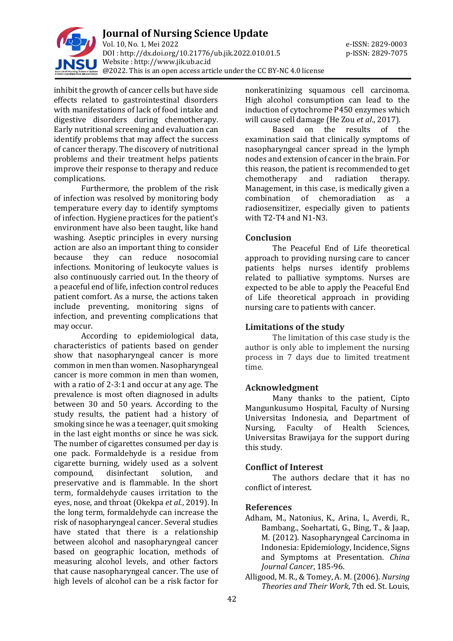

inhibit the growth of cancer cells but have side effects related to gastrointestinal disorders with manifestations of lack of food intake and digestive disorders during chemotherapy. Early nutritional screening and evaluation can identify problems that may affect the success of cancer therapy. The discovery of nutritional problems and their treatment helps patients improve their response to therapy and reduce complications.

Furthermore, the problem of the risk of infection was resolved by monitoring body temperature every day to identify symptoms of infection. Hygiene practices for the patient's environment have also been taught, like hand washing. Aseptic principles in every nursing action are also an important thing to consider because they can reduce nosocomial infections. Monitoring of leukocyte values is also continuously carried out. In the theory of a peaceful end of life, infection control reduces patient comfort. As a nurse, the actions taken include preventing, monitoring signs of infection, and preventing complications that may occur.

According to epidemiological data, characteristics of patients based on gender show that nasopharyngeal cancer is more common in men than women. Nasopharyngeal cancer is more common in men than women, with a ratio of 2-3:1 and occur at any age. The prevalence is most often diagnosed in adults between 30 and 50 years. According to the study results, the patient had a history of smoking since he was a teenager, quit smoking in the last eight months or since he was sick. The number of cigarettes consumed per day is one pack. Formaldehyde is a residue from cigarette burning, widely used as a solvent compound, disinfectant solution, and preservative and is flammable. In the short term, formaldehyde causes irritation to the eyes, nose, and throat (Okekpa *et al*., 2019). In the long term, formaldehyde can increase the risk of nasopharyngeal cancer. Several studies have stated that there is a relationship between alcohol and nasopharyngeal cancer based on geographic location, methods of measuring alcohol levels, and other factors that cause nasopharyngeal cancer. The use of high levels of alcohol can be a risk factor for

nonkeratinizing squamous cell carcinoma. High alcohol consumption can lead to the induction of cytochrome P450 enzymes which will cause cell damage (He Zou *et al*., 2017).

Based on the results of the examination said that clinically symptoms of nasopharyngeal cancer spread in the lymph nodes and extension of cancer in the brain. For this reason, the patient is recommended to get chemotherapy and radiation therapy. Management, in this case, is medically given a combination of chemoradiation as a radiosensitizer, especially given to patients with T2-T4 and N1-N3.

## **Conclusion**

The Peaceful End of Life theoretical approach to providing nursing care to cancer patients helps nurses identify problems related to palliative symptoms. Nurses are expected to be able to apply the Peaceful End of Life theoretical approach in providing nursing care to patients with cancer.

## **Limitations of the study**

The limitation of this case study is the author is only able to implement the nursing process in 7 days due to limited treatment time.

## **Acknowledgment**

Many thanks to the patient, Cipto Mangunkusumo Hospital, Faculty of Nursing Universitas Indonesia, and Department of Nursing, Faculty of Health Sciences, Universitas Brawijaya for the support during this study.

## **Conflict of Interest**

The authors declare that it has no conflict of interest.

## **References**

- Adham, M., Natonius, K., Arina, I., Averdi, R., Bambang., Soehartati, G., Bing, T., & Jaap, M. (2012). Nasopharyngeal Carcinoma in Indonesia: Epidemiology, Incidence, Signs and Symptoms at Presentation. *China Journal Cancer*, 185-96.
- Alligood, M. R., & Tomey, A. M. (2006). *Nursing Theories and Their Work*, 7th ed. St. Louis,